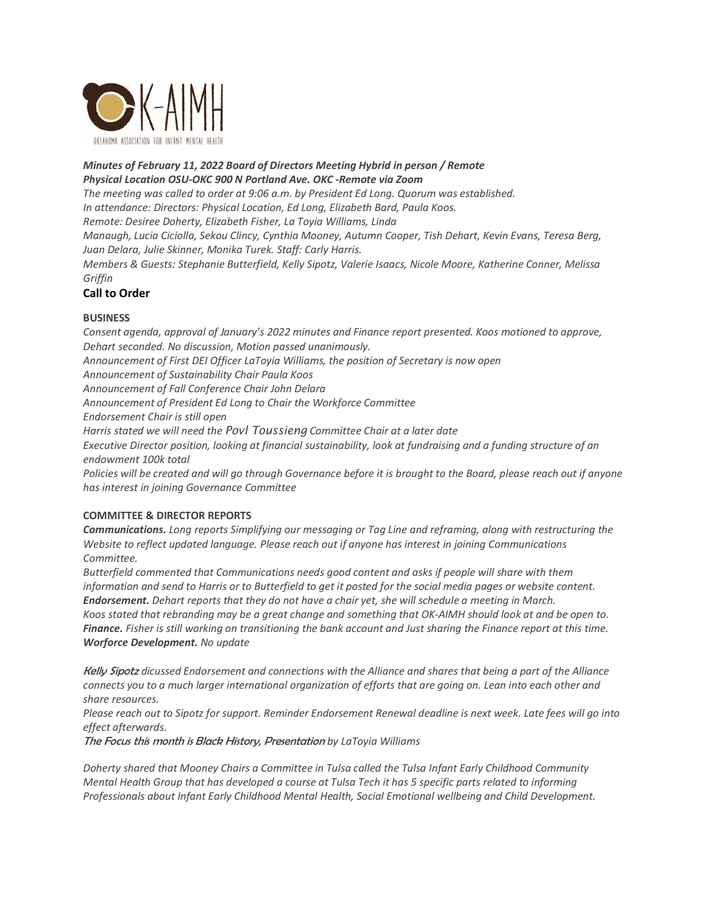

## *Minutes of February 11, 2022 Board of Directors Meeting Hybrid in person / Remote Physical Location OSU-OKC 900 N Portland Ave. OKC -Remote via Zoom*

*The meeting was called to order at 9:06 a.m. by President Ed Long. Quorum was established. In attendance: Directors: Physical Location, Ed Long, Elizabeth Bard, Paula Koos. Remote: Desiree Doherty, Elizabeth Fisher, La Toyia Williams, Linda Manaugh, Lucia Ciciolla, Sekou Clincy, Cynthia Mooney, Autumn Cooper, Tish Dehart, Kevin Evans, Teresa Berg, Juan Delara, Julie Skinner, Monika Turek. Staff: Carly Harris.* 

*Members & Guests: Stephanie Butterfield, Kelly Sipotz, Valerie Isaacs, Nicole Moore, Katherine Conner, Melissa Griffin*

## **Call to Order**

## **BUSINESS**

*Consent agenda, approval of January's 2022 minutes and Finance report presented. Koos motioned to approve, Dehart seconded. No discussion, Motion passed unanimously.* 

*Announcement of First DEI Officer LaToyia Williams, the position of Secretary is now open* 

*Announcement of Sustainability Chair Paula Koos* 

*Announcement of Fall Conference Chair John Delara* 

*Announcement of President Ed Long to Chair the Workforce Committee* 

*Endorsement Chair is still open* 

*Harris stated we will need the Povl Toussieng Committee Chair at a later date* 

*Executive Director position, looking at financial sustainability, look at fundraising and a funding structure of an endowment 100k total* 

*Policies will be created and will go through Governance before it is brought to the Board, please reach out if anyone has interest in joining Governance Committee* 

## **COMMITTEE & DIRECTOR REPORTS**

*Communications. Long reports Simplifying our messaging or Tag Line and reframing, along with restructuring the Website to reflect updated language. Please reach out if anyone has interest in joining Communications Committee.* 

*Butterfield commented that Communications needs good content and asks if people will share with them information and send to Harris or to Butterfield to get it posted for the social media pages or website content. Endorsement. Dehart reports that they do not have a chair yet, she will schedule a meeting in March.* 

*Koos stated that rebranding may be a great change and something that OK-AIMH should look at and be open to. Finance. Fisher is still working on transitioning the bank account and Just sharing the Finance report at this time. Worforce Development. No update* 

Kelly Sipotz *dicussed Endorsement and connections with the Alliance and shares that being a part of the Alliance connects you to a much larger international organization of efforts that are going on. Lean into each other and share resources.* 

*Please reach out to Sipotz for support. Reminder Endorsement Renewal deadline is next week. Late fees will go into effect afterwards.* 

The Focus this month is Black History, Presentation *by LaToyia Williams*

*Doherty shared that Mooney Chairs a Committee in Tulsa called the Tulsa Infant Early Childhood Community Mental Health Group that has developed a course at Tulsa Tech it has 5 specific parts related to informing Professionals about Infant Early Childhood Mental Health, Social Emotional wellbeing and Child Development.*